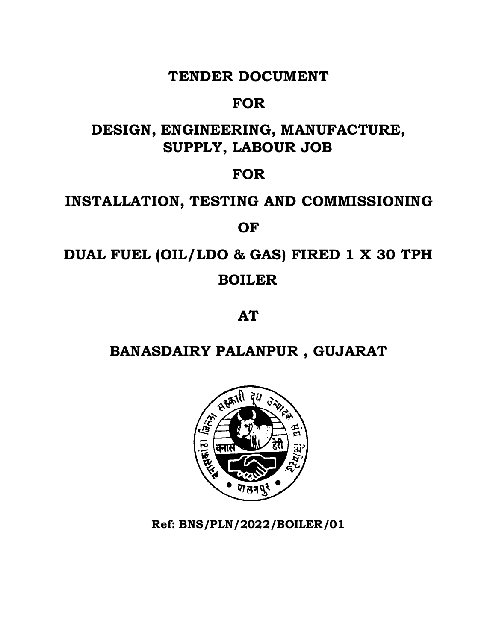### **TENDER DOCUMENT**

## **FOR**

## **DESIGN, ENGINEERING, MANUFACTURE, SUPPLY, LABOUR JOB**

## **FOR**

# **INSTALLATION, TESTING AND COMMISSIONING**

## **OF**

# **DUAL FUEL (OIL/LDO & GAS) FIRED 1 X 30 TPH BOILER**

**AT**

# **BANASDAIRY PALANPUR , GUJARAT**



**Ref: BNS/PLN/2022/BOILER/01**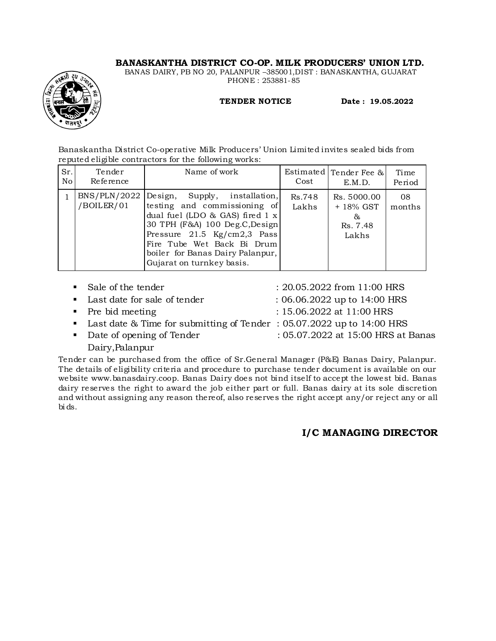#### **BANASKANTHA DISTRICT CO-OP. MILK PRODUCERS' UNION LTD.**

BANAS DAIRY, PB NO 20, PALANPUR –385001,DIST : BANASKANTHA, GUJARAT PHONE : 253881-85



 **TENDER NOTICE Date : 19.05.2022**

Banaskantha District Co-operative Milk Producers' Union Limited invites sealed bids from reputed eligible contractors for the following works:

| Sr.<br>No. | Tender<br>Reference        | Name of work                                                                                                                                                                                                                                                                            | Cost            | Estimated   Tender Fee &<br>E.M.D.                 | Time<br>Period |
|------------|----------------------------|-----------------------------------------------------------------------------------------------------------------------------------------------------------------------------------------------------------------------------------------------------------------------------------------|-----------------|----------------------------------------------------|----------------|
|            | BNS/PLN/2022<br>/BOILER/01 | Design,<br>Supply, installation,<br>testing and commissioning of<br>dual fuel (LDO & GAS) fired $1 x$<br>30 TPH (F&A) 100 Deg.C, Design<br>Pressure $21.5 \text{ Kg/cm}2,3 \text{ Pass}$<br>Fire Tube Wet Back Bi Drum<br>boiler for Banas Dairy Palanpur,<br>Gujarat on turnkey basis. | Rs.748<br>Lakhs | Rs. 5000.00<br>+ 18% GST<br>&<br>Rs. 7.48<br>Lakhs | 08<br>months   |

| • Sale of the tender                                                    | : 20.05.2022 from 11:00 HRS        |
|-------------------------------------------------------------------------|------------------------------------|
| • Last date for sale of tender                                          | $: 06.06.2022$ up to 14:00 HRS     |
| $\blacksquare$ Pre bid meeting                                          | : $15.06.2022$ at $11:00$ HRS      |
| • Last date & Time for submitting of Tender: 05.07.2022 up to 14:00 HRS |                                    |
| • Date of opening of Tender                                             | : 05.07.2022 at 15:00 HRS at Banas |
|                                                                         |                                    |

Dairy,Palanpur

Tender can be purchased from the office of Sr.General Manager (P&E) Banas Dairy, Palanpur. The details of eligibility criteria and procedure to purchase tender document is available on our website www.banasdairy.coop. Banas Dairy does not bind itself to accept the lowest bid. Banas dairy reserves the right to award the job either part or full. Banas dairy at its sole discretion and without assigning any reason thereof, also reserves the right accept any/or reject any or all bi ds.

#### **I/C MANAGING DIRECTOR**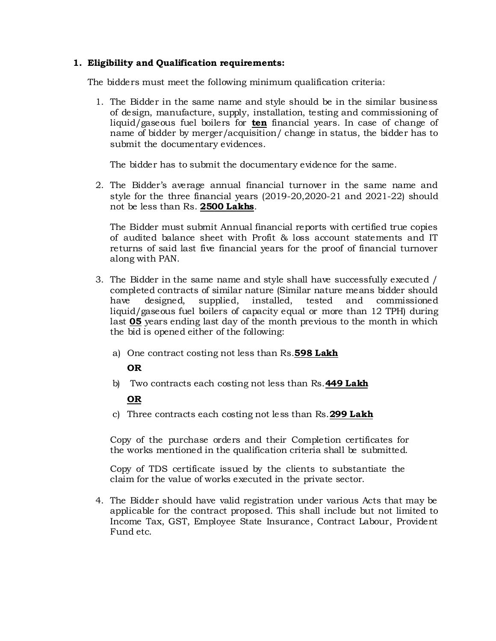#### **1. Eligibility and Qualification requirements:**

The bidders must meet the following minimum qualification criteria:

1. The Bidder in the same name and style should be in the similar business of design, manufacture, supply, installation, testing and commissioning of liquid/gaseous fuel boilers for **ten** financial years. In case of change of name of bidder by merger/acquisition/ change in status, the bidder has to submit the documentary evidences.

The bidder has to submit the documentary evidence for the same.

2. The Bidder's average annual financial turnover in the same name and style for the three financial years (2019-20,2020-21 and 2021-22) should not be less than Rs. **2500 Lakhs**.

The Bidder must submit Annual financial reports with certified true copies of audited balance sheet with Profit & loss account statements and IT returns of said last five financial years for the proof of financial turnover along with PAN.

- 3. The Bidder in the same name and style shall have successfully executed / completed contracts of similar nature (Similar nature means bidder should have designed, supplied, installed, tested and commissioned liquid/gaseous fuel boilers of capacity equal or more than 12 TPH) during last **05** years ending last day of the month previous to the month in which the bid is opened either of the following:
	- a) One contract costing not less than Rs.**598 Lakh**

#### **OR**

b) Two contracts each costing not less than Rs.**449 Lakh**

#### **OR**

c) Three contracts each costing not less than Rs.**299 Lakh**

Copy of the purchase orders and their Completion certificates for the works mentioned in the qualification criteria shall be submitted.

Copy of TDS certificate issued by the clients to substantiate the claim for the value of works executed in the private sector.

4. The Bidder should have valid registration under various Acts that may be applicable for the contract proposed. This shall include but not limited to Income Tax, GST, Employee State Insurance, Contract Labour, Provident Fund etc.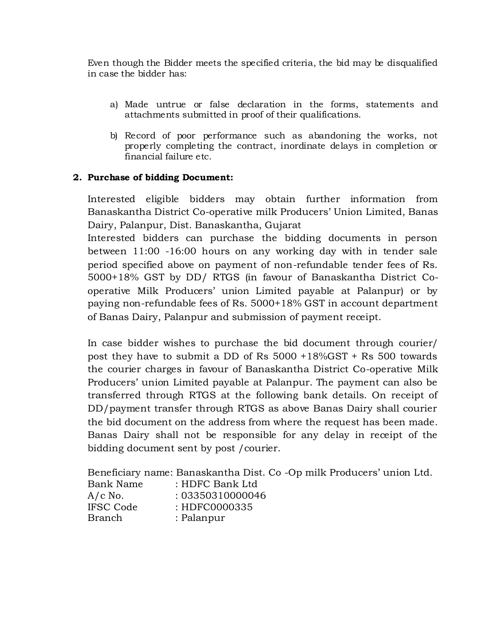Even though the Bidder meets the specified criteria, the bid may be disqualified in case the bidder has:

- a) Made untrue or false declaration in the forms, statements and attachments submitted in proof of their qualifications.
- b) Record of poor performance such as abandoning the works, not properly completing the contract, inordinate delays in completion or financial failure etc.

#### **2. Purchase of bidding Document:**

Interested eligible bidders may obtain further information from Banaskantha District Co-operative milk Producers' Union Limited, Banas Dairy, Palanpur, Dist. Banaskantha, Gujarat

Interested bidders can purchase the bidding documents in person between 11:00 -16:00 hours on any working day with in tender sale period specified above on payment of non-refundable tender fees of Rs. 5000+18% GST by DD/ RTGS (in favour of Banaskantha District Cooperative Milk Producers' union Limited payable at Palanpur) or by paying non-refundable fees of Rs. 5000+18% GST in account department of Banas Dairy, Palanpur and submission of payment receipt.

In case bidder wishes to purchase the bid document through courier/ post they have to submit a DD of Rs 5000 +18%GST + Rs 500 towards the courier charges in favour of Banaskantha District Co-operative Milk Producers' union Limited payable at Palanpur. The payment can also be transferred through RTGS at the following bank details. On receipt of DD/payment transfer through RTGS as above Banas Dairy shall courier the bid document on the address from where the request has been made. Banas Dairy shall not be responsible for any delay in receipt of the bidding document sent by post /courier.

Beneficiary name: Banaskantha Dist. Co -Op milk Producers' union Ltd. Bank Name : HDFC Bank Ltd A/c No. : 03350310000046 IFSC Code : HDFC0000335 Branch : Palanpur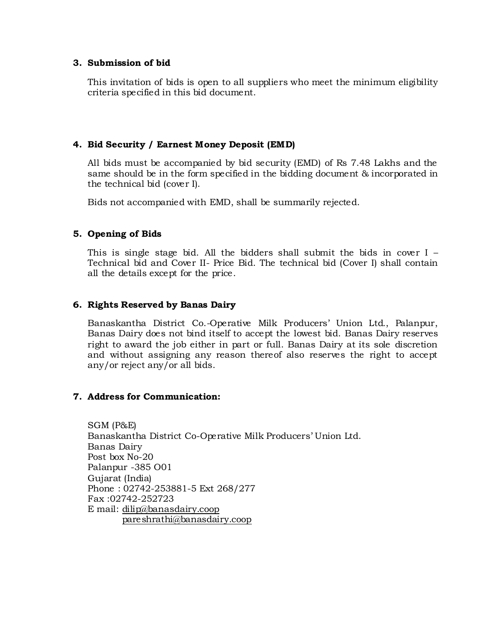#### **3. Submission of bid**

This invitation of bids is open to all suppliers who meet the minimum eligibility criteria specified in this bid document.

#### **4. Bid Security / Earnest Money Deposit (EMD)**

All bids must be accompanied by bid security (EMD) of Rs 7.48 Lakhs and the same should be in the form specified in the bidding document & incorporated in the technical bid (cover I).

Bids not accompanied with EMD, shall be summarily rejected.

#### **5. Opening of Bids**

This is single stage bid. All the bidders shall submit the bids in cover I – Technical bid and Cover II- Price Bid. The technical bid (Cover I) shall contain all the details except for the price.

#### **6. Rights Reserved by Banas Dairy**

Banaskantha District Co.-Operative Milk Producers' Union Ltd., Palanpur, Banas Dairy does not bind itself to accept the lowest bid. Banas Dairy reserves right to award the job either in part or full. Banas Dairy at its sole discretion and without assigning any reason thereof also reserves the right to accept any/or reject any/or all bids.

#### **7. Address for Communication:**

SGM (P&E) Banaskantha District Co-Operative Milk Producers' Union Ltd. Banas Dairy Post box No-20 Palanpur -385 O01 Gujarat (India) Phone : 02742-253881-5 Ext 268/277 Fax :02742-252723 E mail: [dilip@banasdairy.coop](mailto:dilip@banasdairy.coop) [pareshrathi@banasdairy.coop](mailto:pareshrathi@banasdairy.coop)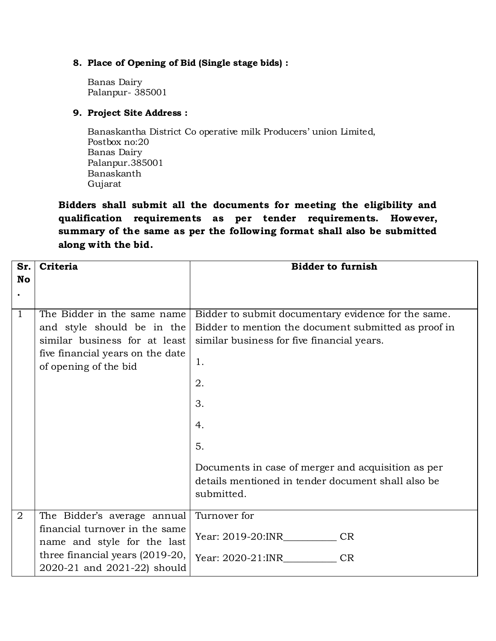#### **8. Place of Opening of Bid (Single stage bids) :**

Banas Dairy Palanpur- 385001

#### **9. Project Site Address :**

Banaskantha District Co operative milk Producers' union Limited, Postbox no:20 Banas Dairy Palanpur.385001 Banaskanth Gujarat

**Bidders shall submit all the documents for meeting the eligibility and qualification requirements as per tender requirements. However, summary of the same as per the following format shall also be submitted along with the bid.** 

| Sr.            | Criteria                                                                                                                                                | <b>Bidder to furnish</b>                                                                                                                                                                                                                                                                                          |
|----------------|---------------------------------------------------------------------------------------------------------------------------------------------------------|-------------------------------------------------------------------------------------------------------------------------------------------------------------------------------------------------------------------------------------------------------------------------------------------------------------------|
| <b>No</b>      |                                                                                                                                                         |                                                                                                                                                                                                                                                                                                                   |
|                |                                                                                                                                                         |                                                                                                                                                                                                                                                                                                                   |
| $\overline{1}$ | The Bidder in the same name<br>and style should be in the<br>similar business for at least<br>five financial years on the date<br>of opening of the bid | Bidder to submit documentary evidence for the same.<br>Bidder to mention the document submitted as proof in<br>similar business for five financial years.<br>1.<br>2.<br>3.<br>4.<br>5.<br>Documents in case of merger and acquisition as per<br>details mentioned in tender document shall also be<br>submitted. |
| $\overline{2}$ | The Bidder's average annual                                                                                                                             | Turnover for                                                                                                                                                                                                                                                                                                      |
|                | financial turnover in the same<br>name and style for the last                                                                                           | Year: 2019-20:INR<br><b>CR</b>                                                                                                                                                                                                                                                                                    |
|                | three financial years (2019-20,<br>2020-21 and 2021-22) should                                                                                          | Year: 2020-21:INR<br><b>CR</b>                                                                                                                                                                                                                                                                                    |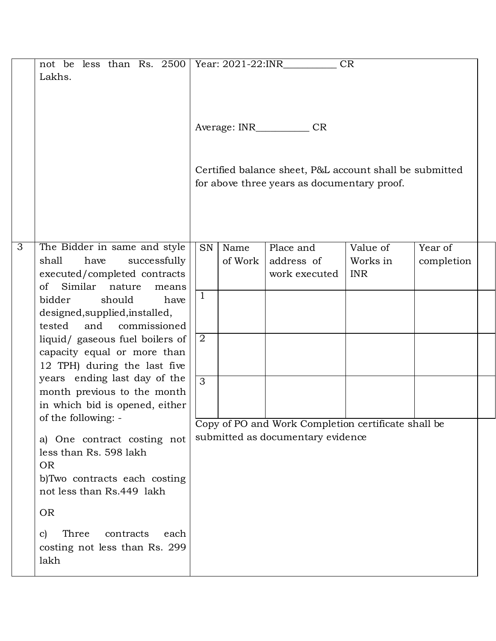|                | not be less than Rs. $2500$ Year: $2021-22$ :INR<br>Lakhs.                          |                | Average: INR | <b>CR</b>                                                                                              | <b>CR</b>              |            |
|----------------|-------------------------------------------------------------------------------------|----------------|--------------|--------------------------------------------------------------------------------------------------------|------------------------|------------|
|                |                                                                                     |                |              | Certified balance sheet, P&L account shall be submitted<br>for above three years as documentary proof. |                        |            |
| $\overline{3}$ | The Bidder in same and style                                                        | SN             | Name         | Place and                                                                                              | Value of               | Year of    |
|                | shall<br>successfully<br>have<br>executed/completed contracts                       |                | of Work      | address of<br>work executed                                                                            | Works in<br><b>INR</b> | completion |
|                | Similar<br>of<br>nature<br>means                                                    | $\mathbf{1}$   |              |                                                                                                        |                        |            |
|                | bidder<br>should<br>have<br>designed, supplied, installed,                          |                |              |                                                                                                        |                        |            |
|                | tested<br>and<br>commissioned                                                       |                |              |                                                                                                        |                        |            |
|                | liquid/ gaseous fuel boilers of                                                     | 2              |              |                                                                                                        |                        |            |
|                | capacity equal or more than                                                         |                |              |                                                                                                        |                        |            |
|                | 12 TPH) during the last five<br>years ending last day of the                        |                |              |                                                                                                        |                        |            |
|                | month previous to the month                                                         | $\overline{3}$ |              |                                                                                                        |                        |            |
|                | in which bid is opened, either                                                      |                |              |                                                                                                        |                        |            |
|                | of the following: -                                                                 |                |              | Copy of PO and Work Completion certificate shall be                                                    |                        |            |
|                | a) One contract costing not<br>less than Rs. 598 lakh<br><b>OR</b>                  |                |              | submitted as documentary evidence                                                                      |                        |            |
|                | b)Two contracts each costing<br>not less than Rs.449 lakh                           |                |              |                                                                                                        |                        |            |
|                | <b>OR</b>                                                                           |                |              |                                                                                                        |                        |            |
|                | Three<br>contracts<br>each<br>$\mathbf{C}$<br>costing not less than Rs. 299<br>lakh |                |              |                                                                                                        |                        |            |